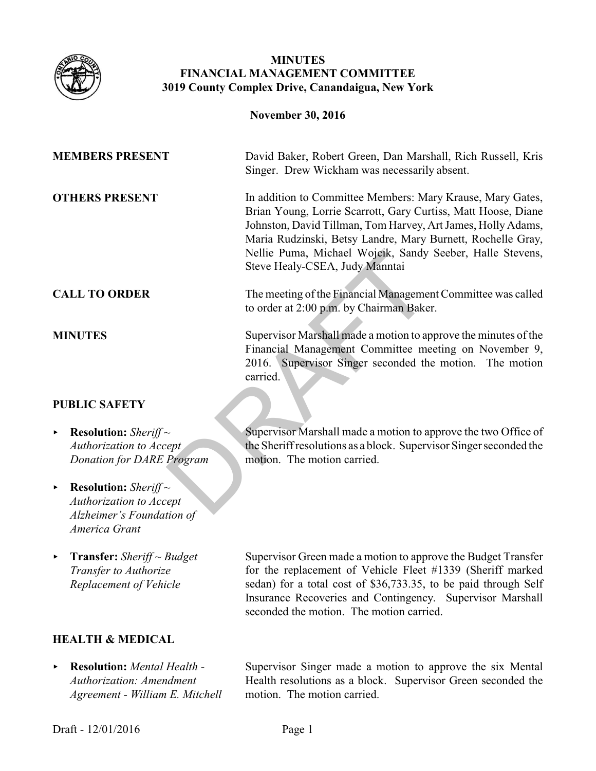

# **MINUTES FINANCIAL MANAGEMENT COMMITTEE 3019 County Complex Drive, Canandaigua, New York**

|                                                                                                                                    | <b>November 30, 2016</b>                                                                                                                                                                                                                                                                                                                                  |
|------------------------------------------------------------------------------------------------------------------------------------|-----------------------------------------------------------------------------------------------------------------------------------------------------------------------------------------------------------------------------------------------------------------------------------------------------------------------------------------------------------|
| <b>MEMBERS PRESENT</b>                                                                                                             | David Baker, Robert Green, Dan Marshall, Rich Russell, Kris<br>Singer. Drew Wickham was necessarily absent.                                                                                                                                                                                                                                               |
| <b>OTHERS PRESENT</b>                                                                                                              | In addition to Committee Members: Mary Krause, Mary Gates,<br>Brian Young, Lorrie Scarrott, Gary Curtiss, Matt Hoose, Diane<br>Johnston, David Tillman, Tom Harvey, Art James, Holly Adams,<br>Maria Rudzinski, Betsy Landre, Mary Burnett, Rochelle Gray,<br>Nellie Puma, Michael Wojcik, Sandy Seeber, Halle Stevens,<br>Steve Healy-CSEA, Judy Manntai |
| <b>CALL TO ORDER</b>                                                                                                               | The meeting of the Financial Management Committee was called<br>to order at 2:00 p.m. by Chairman Baker.                                                                                                                                                                                                                                                  |
| <b>MINUTES</b>                                                                                                                     | Supervisor Marshall made a motion to approve the minutes of the<br>Financial Management Committee meeting on November 9,<br>2016. Supervisor Singer seconded the motion. The motion<br>carried.                                                                                                                                                           |
| <b>PUBLIC SAFETY</b>                                                                                                               |                                                                                                                                                                                                                                                                                                                                                           |
| <b>Resolution:</b> Sheriff $\sim$<br>Þ.<br>Authorization to Accept<br><b>Donation for DARE Program</b>                             | Supervisor Marshall made a motion to approve the two Office of<br>the Sheriff resolutions as a block. Supervisor Singer seconded the<br>motion. The motion carried.                                                                                                                                                                                       |
| <b>Resolution:</b> Sheriff $\sim$<br>$\blacktriangleright$<br><b>Authorization to Accept</b><br>$\Delta l$ -koimar's Equidation of |                                                                                                                                                                                                                                                                                                                                                           |

- < **Resolution:** *Sheriff ~ Authorization to Accept Donation for DARE Program*
- ▶ **Resolution:** *Sheriff* ~ *Authorization to Accept Alzheimer's Foundation of America Grant*
- < **Transfer:** *Sheriff ~ Budget Transfer to Authorize Replacement of Vehicle*

## **HEALTH & MEDICAL**

< **Resolution:** *Mental Health - Authorization: Amendment Agreement - William E. Mitchell*  Supervisor Green made a motion to approve the Budget Transfer for the replacement of Vehicle Fleet #1339 (Sheriff marked sedan) for a total cost of \$36,733.35, to be paid through Self Insurance Recoveries and Contingency. Supervisor Marshall seconded the motion. The motion carried.

Supervisor Singer made a motion to approve the six Mental Health resolutions as a block. Supervisor Green seconded the motion. The motion carried.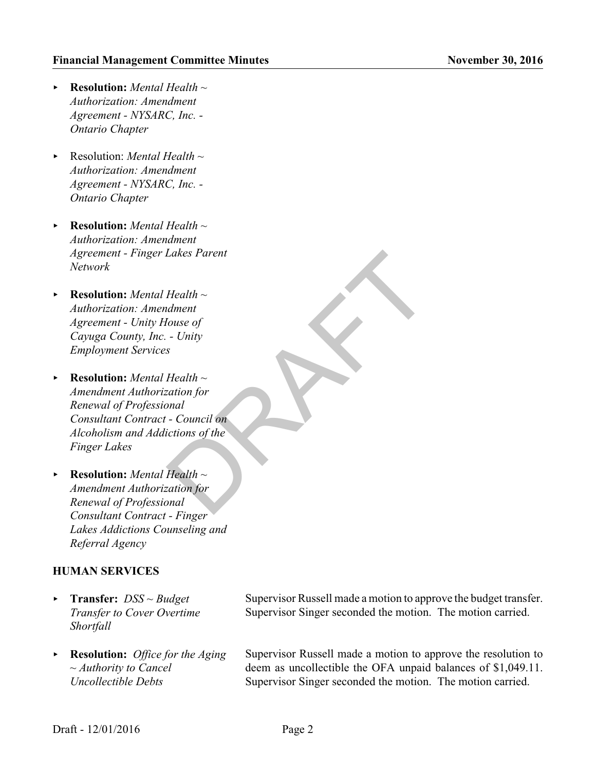- < **Resolution:** *Mental Health ~ Authorization: Amendment Agreement - NYSARC, Inc. - Ontario Chapter*
- < Resolution: *Mental Health ~ Authorization: Amendment Agreement - NYSARC, Inc. - Ontario Chapter*
- < **Resolution:** *Mental Health ~ Authorization: Amendment Agreement - Finger Lakes Parent Network*
- < **Resolution:** *Mental Health ~ Authorization: Amendment Agreement - Unity House of Cayuga County, Inc. - Unity Employment Services*
- < **Resolution:** *Mental Health ~ Amendment Authorization for Renewal of Professional Consultant Contract - Council on Alcoholism and Addictions of the Finger Lakes*  Lakes Parent<br>
Health ~<br>
dment<br>
downth<br>
downth<br>
couse of<br>
- Unity<br>
s<br>
Health ~<br>
- Council on<br>
dictions of the<br>
Health ~<br>
Health ~<br>
Health ~<br>
Health ~<br>
Health ~<br>
Health ~<br>
Health ~<br>
Health ~<br>
Health ~<br>
mal<br>
mation for
- < **Resolution:** *Mental Health ~ Amendment Authorization for Renewal of Professional Consultant Contract - Finger Lakes Addictions Counseling and Referral Agency*

#### **HUMAN SERVICES**

- < **Transfer:** *DSS ~ Budget Transfer to Cover Overtime Shortfall*
- < **Resolution:** *Office for the Aging ~ Authority to Cancel Uncollectible Debts*

Supervisor Russell made a motion to approve the budget transfer. Supervisor Singer seconded the motion. The motion carried.

Supervisor Russell made a motion to approve the resolution to deem as uncollectible the OFA unpaid balances of \$1,049.11. Supervisor Singer seconded the motion. The motion carried.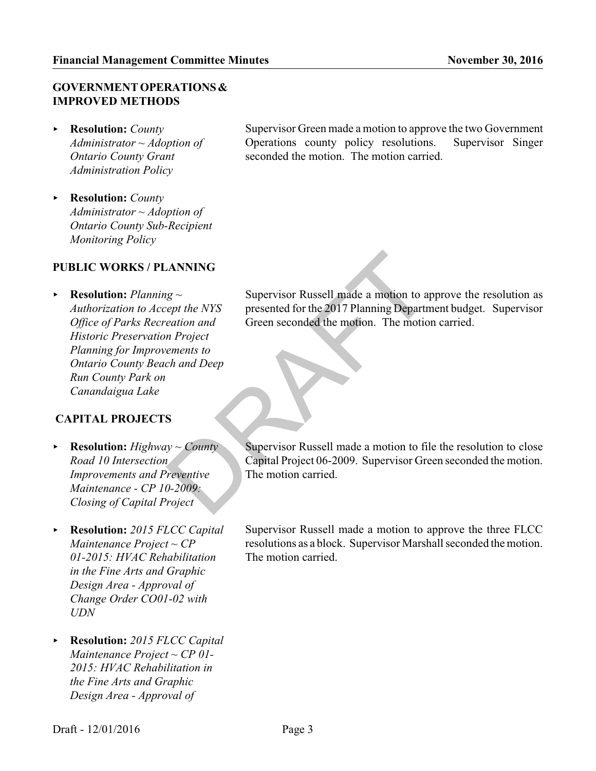# **GOVERNMENT OPERATIONS & IMPROVED METHODS**

- < **Resolution:** *County Administrator ~ Adoption of Ontario County Grant Administration Policy*
- < **Resolution:** *County Administrator ~ Adoption of Ontario County Sub-Recipient Monitoring Policy*

## **PUBLIC WORKS / PLANNING**

< **Resolution:** *Planning ~ Authorization to Accept the NYS Office of Parks Recreation and Historic Preservation Project Planning for Improvements to Ontario County Beach and Deep Run County Park on Canandaigua Lake*

## **CAPITAL PROJECTS**

- < **Resolution:** *Highway ~ County Road 10 Intersection Improvements and Preventive Maintenance - CP 10-2009: Closing of Capital Project*
- < **Resolution:** *2015 FLCC Capital Maintenance Project ~ CP 01-2015: HVAC Rehabilitation in the Fine Arts and Graphic Design Area - Approval of Change Order CO01-02 with UDN*
- < **Resolution:** *2015 FLCC Capital Maintenance Project ~ CP 01- 2015: HVAC Rehabilitation in the Fine Arts and Graphic Design Area - Approval of*

Supervisor Green made a motion to approve the two Government Operations county policy resolutions. Supervisor Singer seconded the motion. The motion carried.

Supervisor Russell made a motion to approve the resolution as presented for the 2017 Planning Department budget. Supervisor Green seconded the motion. The motion carried. MANING<br>
Example the NYS<br>
Supervisor Russell made a motion to appropriate the NYS<br>
Fraction and<br>
The and Deep<br>
S<br>
S<br>
S<br>
S<br>
S<br>
P<br>
Supervisor Russell made a motion to fil<br>
Capital Project 06-2009. Supervisor Green<br>
The motio

Supervisor Russell made a motion to file the resolution to close Capital Project 06-2009. Supervisor Green seconded the motion. The motion carried.

Supervisor Russell made a motion to approve the three FLCC resolutions as a block. Supervisor Marshall seconded the motion. The motion carried.